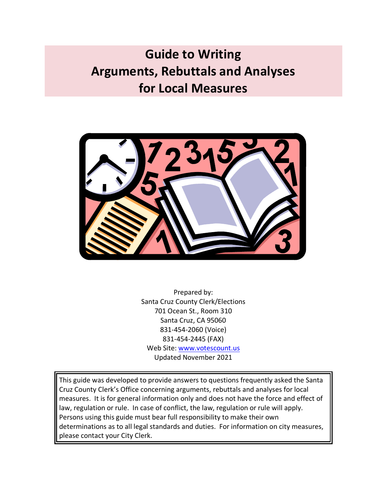# **Guide to Writing Arguments, Rebuttals and Analyses for Local Measures**



Prepared by: Santa Cruz County Clerk/Elections 701 Ocean St., Room 310 Santa Cruz, CA 95060 831-454-2060 (Voice) 831-454-2445 (FAX) Web Site: [www.votescount.us](http://www.votescount.us/) Updated November 2021

This guide was developed to provide answers to questions frequently asked the Santa Cruz County Clerk's Office concerning arguments, rebuttals and analyses for local measures. It is for general information only and does not have the force and effect of law, regulation or rule. In case of conflict, the law, regulation or rule will apply. Persons using this guide must bear full responsibility to make their own determinations as to all legal standards and duties. For information on city measures, please contact your City Clerk.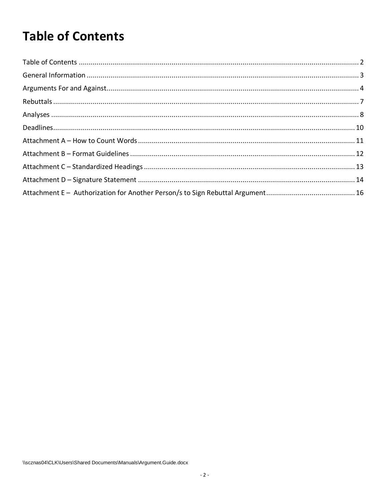# <span id="page-1-0"></span>**Table of Contents**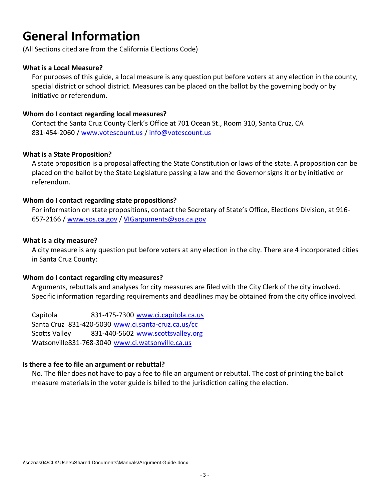### <span id="page-2-0"></span>**General Information**

(All Sections cited are from the California Elections Code)

#### **What is a Local Measure?**

For purposes of this guide, a local measure is any question put before voters at any election in the county, special district or school district. Measures can be placed on the ballot by the governing body or by initiative or referendum.

#### **Whom do I contact regarding local measures?**

Contact the Santa Cruz County Clerk's Office at 701 Ocean St., Room 310, Santa Cruz, CA 831-454-2060 / [www.votescount.us](http://www.votescount.us/) / [info@votescount.us](mailto:info@votescount.us)

#### **What is a State Proposition?**

A state proposition is a proposal affecting the State Constitution or laws of the state. A proposition can be placed on the ballot by the State Legislature passing a law and the Governor signs it or by initiative or referendum.

#### **Whom do I contact regarding state propositions?**

For information on state propositions, contact the Secretary of State's Office, Elections Division, at 916- 657-2166 / [www.sos.ca.gov](http://www.sos.ca.gov/) [/ VIGarguments@sos.ca.gov](mailto:VIGarguments@sos.ca.gov)

#### **What is a city measure?**

A city measure is any question put before voters at any election in the city. There are 4 incorporated cities in Santa Cruz County:

#### **Whom do I contact regarding city measures?**

Arguments, rebuttals and analyses for city measures are filed with the City Clerk of the city involved. Specific information regarding requirements and deadlines may be obtained from the city office involved.

Capitola 831-475-7300 [www.ci.capitola.ca.us](http://www.ci.capitola.ca.us/) Santa Cruz 831-420-5030 [www.ci.santa-cruz.ca.us/cc](http://www.ci.santa-cruz.ca.us/cc) Scotts Valley 831-440-5602 [www.scottsvalley.org](http://www.scottsvalley.org/) Watsonville831-768-3040 [www.ci.watsonville.ca.us](http://www.ci.watsonville.ca.us/)

#### **Is there a fee to file an argument or rebuttal?**

No. The filer does not have to pay a fee to file an argument or rebuttal. The cost of printing the ballot measure materials in the voter guide is billed to the jurisdiction calling the election.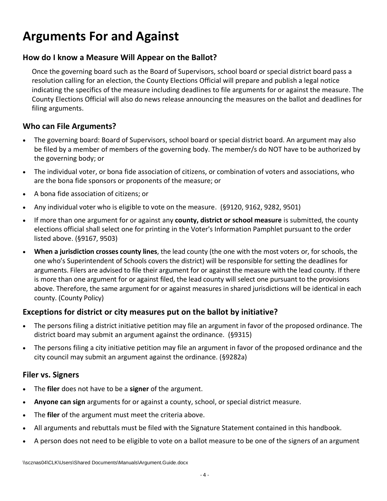### <span id="page-3-0"></span>**Arguments For and Against**

#### **How do I know a Measure Will Appear on the Ballot?**

Once the governing board such as the Board of Supervisors, school board or special district board pass a resolution calling for an election, the County Elections Official will prepare and publish a legal notice indicating the specifics of the measure including deadlines to file arguments for or against the measure. The County Elections Official will also do news release announcing the measures on the ballot and deadlines for filing arguments.

#### **Who can File Arguments?**

- The governing board: Board of Supervisors, school board or special district board. An argument may also be filed by a member of members of the governing body. The member/s do NOT have to be authorized by the governing body; or
- The individual voter, or bona fide association of citizens, or combination of voters and associations, who are the bona fide sponsors or proponents of the measure; or
- A bona fide association of citizens; or
- Any individual voter who is eligible to vote on the measure. (§9120, 9162, 9282, 9501)
- If more than one argument for or against any **county, district or school measure** is submitted, the county elections official shall select one for printing in the Voter's Information Pamphlet pursuant to the order listed above. (§9167, 9503)
- **When a jurisdiction crosses county lines**, the lead county (the one with the most voters or, for schools, the one who's Superintendent of Schools covers the district) will be responsible for setting the deadlines for arguments. Filers are advised to file their argument for or against the measure with the lead county. If there is more than one argument for or against filed, the lead county will select one pursuant to the provisions above. Therefore, the same argument for or against measures in shared jurisdictions will be identical in each county. (County Policy)

#### **Exceptions for district or city measures put on the ballot by initiative?**

- The persons filing a district initiative petition may file an argument in favor of the proposed ordinance. The district board may submit an argument against the ordinance. (§9315)
- The persons filing a city initiative petition may file an argument in favor of the proposed ordinance and the city council may submit an argument against the ordinance. (§9282a)

#### **Filer vs. Signers**

- The **filer** does not have to be a **signer** of the argument.
- **Anyone can sign** arguments for or against a county, school, or special district measure.
- The **filer** of the argument must meet the criteria above.
- All arguments and rebuttals must be filed with the Signature Statement contained in this handbook.
- A person does not need to be eligible to vote on a ballot measure to be one of the signers of an argument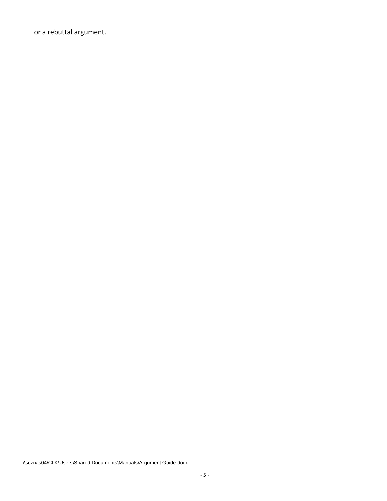or a rebuttal argument.

\\scznas04\CLK\Users\Shared Documents\Manuals\Argument.Guide.docx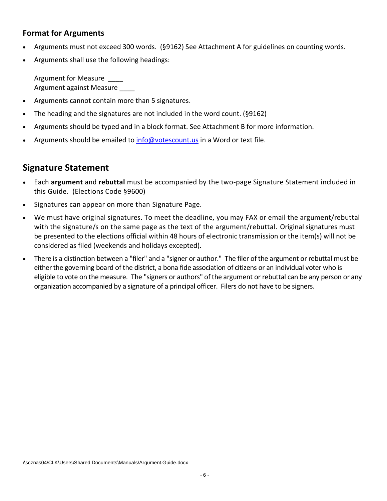#### **Format for Arguments**

- Arguments must not exceed 300 words. (§9162) See Attachment A for guidelines on counting words.
- Arguments shall use the following headings:

Argument for Measure \_\_\_\_ Argument against Measure

- Arguments cannot contain more than 5 signatures.
- The heading and the signatures are not included in the word count. (§9162)
- Arguments should be typed and in a block format. See Attachment B for more information.
- Arguments should be emailed t[o info@votescount.us](mailto:info@votescount.us) in a Word or text file.

### **Signature Statement**

- Each **argument** and **rebuttal** must be accompanied by the two-page Signature Statement included in this Guide. (Elections Code §9600)
- Signatures can appear on more than Signature Page.
- We must have original signatures. To meet the deadline, you may FAX or email the argument/rebuttal with the signature/s on the same page as the text of the argument/rebuttal. Original signatures must be presented to the elections official within 48 hours of electronic transmission or the item(s) will not be considered as filed (weekends and holidays excepted).
- There is a distinction between a "filer" and a "signer or author." The filer of the argument or rebuttal must be either the governing board of the district, a bona fide association of citizens or an individual voter who is eligible to vote on the measure. The "signers or authors" of the argument or rebuttal can be any person or any organization accompanied by a signature of a principal officer. Filers do not have to be signers.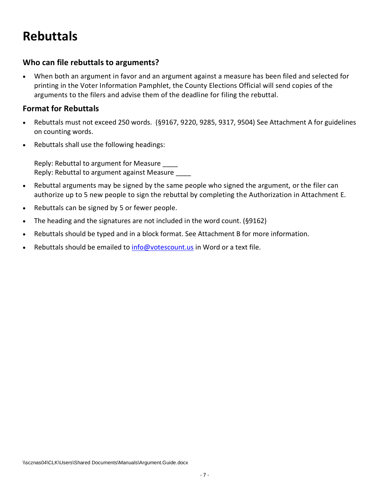## <span id="page-6-0"></span>**Rebuttals**

#### **Who can file rebuttals to arguments?**

• When both an argument in favor and an argument against a measure has been filed and selected for printing in the Voter Information Pamphlet, the County Elections Official will send copies of the arguments to the filers and advise them of the deadline for filing the rebuttal.

#### **Format for Rebuttals**

- Rebuttals must not exceed 250 words. (§9167, 9220, 9285, 9317, 9504) See Attachment A for guidelines on counting words.
- Rebuttals shall use the following headings:

Reply: Rebuttal to argument for Measure \_\_\_\_ Reply: Rebuttal to argument against Measure \_\_\_\_

- Rebuttal arguments may be signed by the same people who signed the argument, or the filer can authorize up to 5 new people to sign the rebuttal by completing the Authorization in Attachment E.
- Rebuttals can be signed by 5 or fewer people.
- The heading and the signatures are not included in the word count. (§9162)
- Rebuttals should be typed and in a block format. See Attachment B for more information.
- Rebuttals should be emailed to [info@votescount.us](mailto:info@votescount.us) in Word or a text file.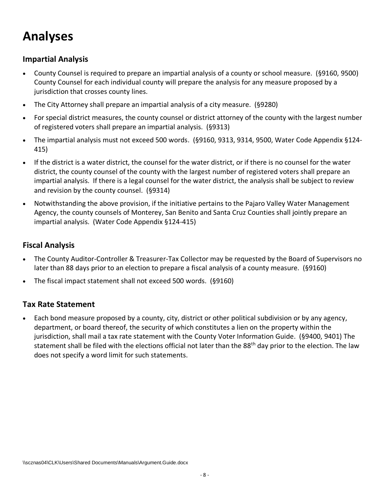## <span id="page-7-0"></span>**Analyses**

#### **Impartial Analysis**

- County Counsel is required to prepare an impartial analysis of a county or school measure. (§9160, 9500) County Counsel for each individual county will prepare the analysis for any measure proposed by a jurisdiction that crosses county lines.
- The City Attorney shall prepare an impartial analysis of a city measure. (§9280)
- For special district measures, the county counsel or district attorney of the county with the largest number of registered voters shall prepare an impartial analysis. (§9313)
- The impartial analysis must not exceed 500 words. (§9160, 9313, 9314, 9500, Water Code Appendix §124- 415)
- If the district is a water district, the counsel for the water district, or if there is no counsel for the water district, the county counsel of the county with the largest number of registered voters shall prepare an impartial analysis. If there is a legal counsel for the water district, the analysis shall be subject to review and revision by the county counsel. (§9314)
- Notwithstanding the above provision, if the initiative pertains to the Pajaro Valley Water Management Agency, the county counsels of Monterey, San Benito and Santa Cruz Counties shall jointly prepare an impartial analysis. (Water Code Appendix §124-415)

#### **Fiscal Analysis**

- The County Auditor-Controller & Treasurer-Tax Collector may be requested by the Board of Supervisors no later than 88 days prior to an election to prepare a fiscal analysis of a county measure. (§9160)
- The fiscal impact statement shall not exceed 500 words. (§9160)

#### **Tax Rate Statement**

• Each bond measure proposed by a county, city, district or other political subdivision or by any agency, department, or board thereof, the security of which constitutes a lien on the property within the jurisdiction, shall mail a tax rate statement with the County Voter Information Guide. (§9400, 9401) The statement shall be filed with the elections official not later than the 88<sup>th</sup> day prior to the election. The law does not specify a word limit for such statements.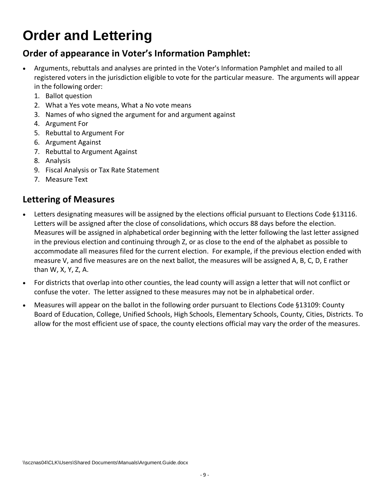# **Order and Lettering**

### **Order of appearance in Voter's Information Pamphlet:**

- Arguments, rebuttals and analyses are printed in the Voter's Information Pamphlet and mailed to all registered voters in the jurisdiction eligible to vote for the particular measure. The arguments will appear in the following order:
	- 1. Ballot question
	- 2. What a Yes vote means, What a No vote means
	- 3. Names of who signed the argument for and argument against
	- 4. Argument For
	- 5. Rebuttal to Argument For
	- 6. Argument Against
	- 7. Rebuttal to Argument Against
	- 8. Analysis
	- 9. Fiscal Analysis or Tax Rate Statement
	- 7. Measure Text

### **Lettering of Measures**

- Letters designating measures will be assigned by the elections official pursuant to Elections Code §13116. Letters will be assigned after the close of consolidations, which occurs 88 days before the election. Measures will be assigned in alphabetical order beginning with the letter following the last letter assigned in the previous election and continuing through Z, or as close to the end of the alphabet as possible to accommodate all measures filed for the current election. For example, if the previous election ended with measure V, and five measures are on the next ballot, the measures will be assigned A, B, C, D, E rather than W, X, Y, Z, A.
- For districts that overlap into other counties, the lead county will assign a letter that will not conflict or confuse the voter. The letter assigned to these measures may not be in alphabetical order.
- <span id="page-8-0"></span>• Measures will appear on the ballot in the following order pursuant to Elections Code §13109: County Board of Education, College, Unified Schools, High Schools, Elementary Schools, County, Cities, Districts. To allow for the most efficient use of space, the county elections official may vary the order of the measures.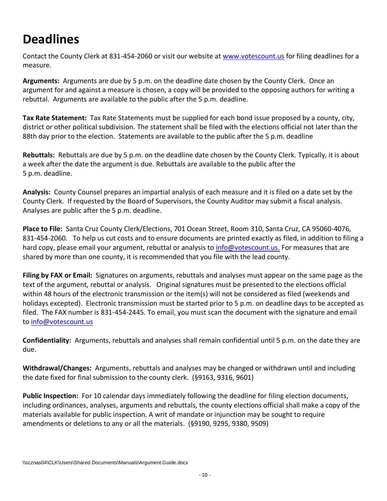## **Deadlines**

Contact the County Clerk at 831-454-2060 or visit our website at [www.votescount.us](http://www.votescount.us/) for filing deadlines for a measure.

**Arguments:** Arguments are due by 5 p.m. on the deadline date chosen by the County Clerk. Once an argument for and against a measure is chosen, a copy will be provided to the opposing authors for writing a rebuttal. Arguments are available to the public after the 5 p.m. deadline.

**Tax Rate Statement:** Tax Rate Statements must be supplied for each bond issue proposed by a county, city, district or other political subdivision. The statement shall be filed with the elections official not later than the 88th day prior to the election. Statements are available to the public after the 5 p.m. deadline

**Rebuttals:** Rebuttals are due by 5 p.m. on the deadline date chosen by the County Clerk. Typically, it is about a week after the date the argument is due. Rebuttals are available to the public after the 5 p.m. deadline.

**Analysis:** County Counsel prepares an impartial analysis of each measure and it is filed on a date set by the County Clerk. If requested by the Board of Supervisors, the County Auditor may submit a fiscal analysis. Analyses are public after the 5 p.m. deadline.

**Place to File:** Santa Cruz County Clerk/Elections, 701 Ocean Street, Room 310, Santa Cruz, CA 95060-4076, 831-454-2060. To help us cut costs and to ensure documents are printed exactly as filed, in addition to filing a hard copy, please email your argument, rebuttal or analysis to [info@votescount.us.](mailto:info@votescount.us) For measures that are shared by more than one county, it is recommended that you file with the lead county.

**Filing by FAX or Email:** Signatures on arguments, rebuttals and analyses must appear on the same page as the text of the argument, rebuttal or analysis. Original signatures must be presented to the elections official within 48 hours of the electronic transmission or the item(s) will not be considered as filed (weekends and holidays excepted). Electronic transmission must be started prior to 5 p.m. on deadline days to be accepted as filed. The FAX number is 831-454-2445. To email, you must scan the document with the signature and email to [info@votescount.us](mailto:info@votescount.us)

**Confidentiality:** Arguments, rebuttals and analyses shall remain confidential until 5 p.m. on the date they are due.

**Withdrawal/Changes:** Arguments, rebuttals and analyses may be changed or withdrawn until and including the date fixed for final submission to the county clerk. (§9163, 9316, 9601)

**Public Inspection:** For 10 calendar days immediately following the deadline for filing election documents, including ordinances, analyses, arguments and rebuttals, the county elections official shall make a copy of the materials available for public inspection. A writ of mandate or injunction may be sought to require amendments or deletions to any or all the materials. (§9190, 9295, 9380, 9509)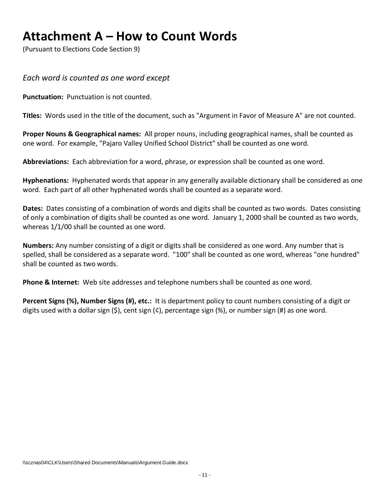### <span id="page-10-0"></span>**Attachment A – How to Count Words**

(Pursuant to Elections Code Section 9)

*Each word is counted as one word except*

**Punctuation:** Punctuation is not counted.

**Titles:** Words used in the title of the document, such as "Argument in Favor of Measure A" are not counted.

**Proper Nouns & Geographical names:** All proper nouns, including geographical names, shall be counted as one word. For example, "Pajaro Valley Unified School District" shall be counted as one word.

**Abbreviations:** Each abbreviation for a word, phrase, or expression shall be counted as one word.

**Hyphenations:** Hyphenated words that appear in any generally available dictionary shall be considered as one word. Each part of all other hyphenated words shall be counted as a separate word.

**Dates:** Dates consisting of a combination of words and digits shall be counted as two words. Dates consisting of only a combination of digits shall be counted as one word. January 1, 2000 shall be counted as two words, whereas 1/1/00 shall be counted as one word.

**Numbers:** Any number consisting of a digit or digits shall be considered as one word. Any number that is spelled, shall be considered as a separate word. "100" shall be counted as one word, whereas "one hundred" shall be counted as two words.

**Phone & Internet:** Web site addresses and telephone numbers shall be counted as one word.

**Percent Signs (%), Number Signs (#), etc.:** It is department policy to count numbers consisting of a digit or digits used with a dollar sign  $(\xi)$ , cent sign  $(\zeta)$ , percentage sign  $(\%)$ , or number sign  $(\#)$  as one word.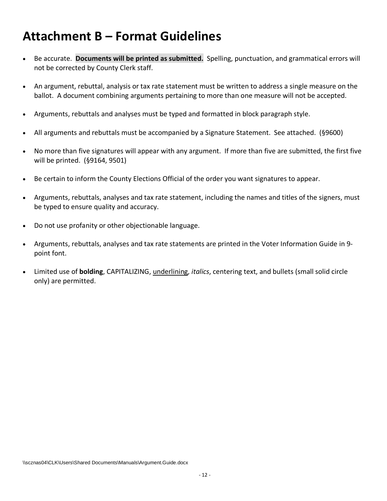### <span id="page-11-0"></span>**Attachment B – Format Guidelines**

- Be accurate. **Documents will be printed as submitted.** Spelling, punctuation, and grammatical errors will not be corrected by County Clerk staff.
- An argument, rebuttal, analysis or tax rate statement must be written to address a single measure on the ballot. A document combining arguments pertaining to more than one measure will not be accepted.
- Arguments, rebuttals and analyses must be typed and formatted in block paragraph style.
- All arguments and rebuttals must be accompanied by a Signature Statement. See attached. (§9600)
- No more than five signatures will appear with any argument. If more than five are submitted, the first five will be printed. (§9164, 9501)
- Be certain to inform the County Elections Official of the order you want signatures to appear.
- Arguments, rebuttals, analyses and tax rate statement, including the names and titles of the signers, must be typed to ensure quality and accuracy.
- Do not use profanity or other objectionable language.
- Arguments, rebuttals, analyses and tax rate statements are printed in the Voter Information Guide in 9 point font.
- Limited use of **bolding**, CAPITALIZING, underlining, *italics*, centering text, and bullets (small solid circle only) are permitted.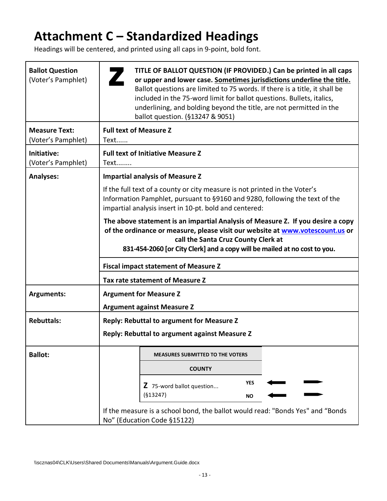## <span id="page-12-0"></span>**Attachment C – Standardized Headings**

Headings will be centered, and printed using all caps in 9-point, bold font.

| <b>Ballot Question</b><br>(Voter's Pamphlet) | TITLE OF BALLOT QUESTION (IF PROVIDED.) Can be printed in all caps<br>or upper and lower case. Sometimes jurisdictions underline the title.<br>Ballot questions are limited to 75 words. If there is a title, it shall be<br>included in the 75-word limit for ballot questions. Bullets, italics,<br>underlining, and bolding beyond the title, are not permitted in the<br>ballot question. (§13247 & 9051) |
|----------------------------------------------|---------------------------------------------------------------------------------------------------------------------------------------------------------------------------------------------------------------------------------------------------------------------------------------------------------------------------------------------------------------------------------------------------------------|
| <b>Measure Text:</b><br>(Voter's Pamphlet)   | <b>Full text of Measure Z</b><br>Text                                                                                                                                                                                                                                                                                                                                                                         |
| Initiative:<br>(Voter's Pamphlet)            | <b>Full text of Initiative Measure Z</b><br>Text                                                                                                                                                                                                                                                                                                                                                              |
| <b>Analyses:</b>                             | <b>Impartial analysis of Measure Z</b>                                                                                                                                                                                                                                                                                                                                                                        |
|                                              | If the full text of a county or city measure is not printed in the Voter's<br>Information Pamphlet, pursuant to §9160 and 9280, following the text of the<br>impartial analysis insert in 10-pt. bold and centered:                                                                                                                                                                                           |
|                                              | The above statement is an impartial Analysis of Measure Z. If you desire a copy<br>of the ordinance or measure, please visit our website at www.votescount.us or<br>call the Santa Cruz County Clerk at<br>831-454-2060 [or City Clerk] and a copy will be mailed at no cost to you.                                                                                                                          |
|                                              | <b>Fiscal impact statement of Measure Z</b>                                                                                                                                                                                                                                                                                                                                                                   |
|                                              | Tax rate statement of Measure Z                                                                                                                                                                                                                                                                                                                                                                               |
| <b>Arguments:</b>                            | <b>Argument for Measure Z</b>                                                                                                                                                                                                                                                                                                                                                                                 |
|                                              | <b>Argument against Measure Z</b>                                                                                                                                                                                                                                                                                                                                                                             |
| <b>Rebuttals:</b>                            | Reply: Rebuttal to argument for Measure Z                                                                                                                                                                                                                                                                                                                                                                     |
|                                              | Reply: Rebuttal to argument against Measure Z                                                                                                                                                                                                                                                                                                                                                                 |
| <b>Ballot:</b>                               | <b>MEASURES SUBMITTED TO THE VOTERS</b>                                                                                                                                                                                                                                                                                                                                                                       |
|                                              | <b>COUNTY</b>                                                                                                                                                                                                                                                                                                                                                                                                 |
|                                              | <b>YES</b><br>Z 75-word ballot question<br>(§13247)<br>ΝO                                                                                                                                                                                                                                                                                                                                                     |
|                                              | If the measure is a school bond, the ballot would read: "Bonds Yes" and "Bonds<br>No" (Education Code §15122)                                                                                                                                                                                                                                                                                                 |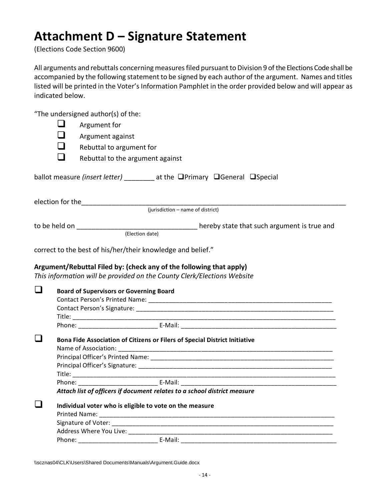### <span id="page-13-0"></span>**Attachment D – Signature Statement**

(Elections Code Section 9600)

All arguments and rebuttals concerning measures filed pursuant to Division 9 of the Elections Code shall be accompanied by the following statement to be signed by each author of the argument. Names and titles listed will be printed in the Voter's Information Pamphlet in the order provided below and will appear as indicated below.

"The undersigned author(s) of the:

| ப                | Argument for                                                                                                                                   |
|------------------|------------------------------------------------------------------------------------------------------------------------------------------------|
|                  | Argument against                                                                                                                               |
|                  | Rebuttal to argument for                                                                                                                       |
|                  | Rebuttal to the argument against                                                                                                               |
|                  |                                                                                                                                                |
|                  | ballot measure (insert letter) ________ at the OPrimary OGeneral OSpecial                                                                      |
|                  |                                                                                                                                                |
|                  |                                                                                                                                                |
|                  |                                                                                                                                                |
|                  | (Election date)                                                                                                                                |
|                  |                                                                                                                                                |
|                  | correct to the best of his/her/their knowledge and belief."                                                                                    |
|                  | Argument/Rebuttal Filed by: (check any of the following that apply)<br>This information will be provided on the County Clerk/Elections Website |
|                  | <b>Board of Supervisors or Governing Board</b>                                                                                                 |
|                  |                                                                                                                                                |
|                  |                                                                                                                                                |
|                  |                                                                                                                                                |
|                  |                                                                                                                                                |
|                  | Bona Fide Association of Citizens or Filers of Special District Initiative                                                                     |
|                  |                                                                                                                                                |
|                  |                                                                                                                                                |
|                  |                                                                                                                                                |
|                  |                                                                                                                                                |
| $\Box$<br>$\Box$ | Attach list of officers if document relates to a school district measure                                                                       |
|                  |                                                                                                                                                |
| $\Box$           | Individual voter who is eligible to vote on the measure                                                                                        |
|                  |                                                                                                                                                |
|                  |                                                                                                                                                |

\\scznas04\CLK\Users\Shared Documents\Manuals\Argument.Guide.docx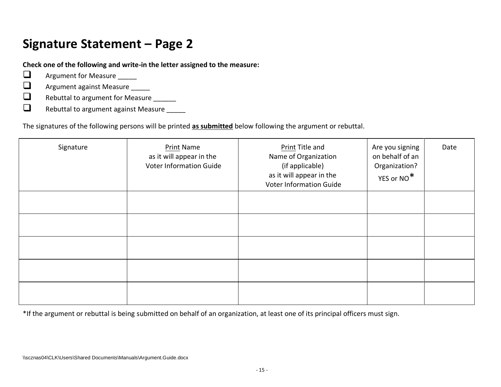## **Signature Statement – Page 2**

**Check one of the following and write-in the letter assigned to the measure:**

- $\Box$  Argument for Measure
- □ Argument against Measure \_\_\_\_\_
- □ Rebuttal to argument for Measure \_\_\_\_\_\_
- $\Box$  Rebuttal to argument against Measure

The signatures of the following persons will be printed **as submitted** below following the argument or rebuttal.

| Signature | <b>Print Name</b><br>as it will appear in the<br><b>Voter Information Guide</b> | Print Title and<br>Name of Organization<br>(if applicable)<br>as it will appear in the<br><b>Voter Information Guide</b> | Are you signing<br>on behalf of an<br>Organization?<br>YES or NO* | Date |
|-----------|---------------------------------------------------------------------------------|--------------------------------------------------------------------------------------------------------------------------|-------------------------------------------------------------------|------|
|           |                                                                                 |                                                                                                                          |                                                                   |      |
|           |                                                                                 |                                                                                                                          |                                                                   |      |
|           |                                                                                 |                                                                                                                          |                                                                   |      |
|           |                                                                                 |                                                                                                                          |                                                                   |      |
|           |                                                                                 |                                                                                                                          |                                                                   |      |

<span id="page-14-0"></span>\*If the argument or rebuttal is being submitted on behalf of an organization, at least one of its principal officers must sign.